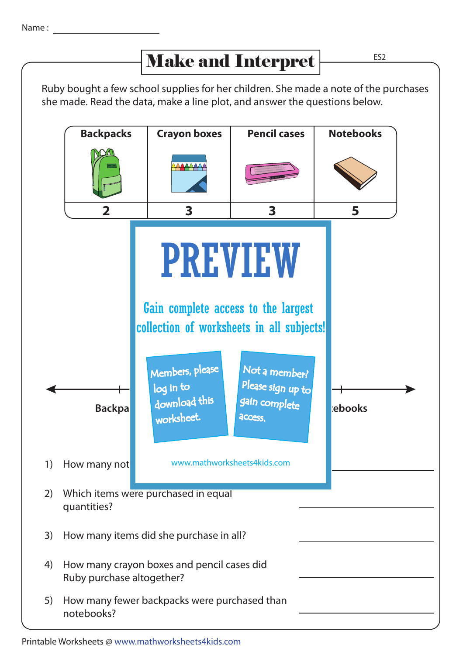## Ruby bought a few school supplies for her children. She made a note of the purchases she made. Read the data, make a line plot, and answer the questions below. **Backpa School supplies** gain complete de la <mark>rebooks</mark> Which items were purchased in equal quantities? 2) 1) How many not **www.mathworksheets4kids.com** 3) How many items did she purchase in all? 4) How many crayon boxes and pencil cases did Ruby purchase altogether? 5) How many fewer backpacks were purchased than notebooks? **5 Notebooks 2 Backpacks 3 Pencil cases 3 Crayon boxes** ES2 Make and Interpret PREVIEW Members, please download this worksheet. log in to Not a member? Please sign up to **access** Gain complete access to the largest collection of worksheets in all subjects!

## Printable Worksheets @ www.mathworksheets4kids.com